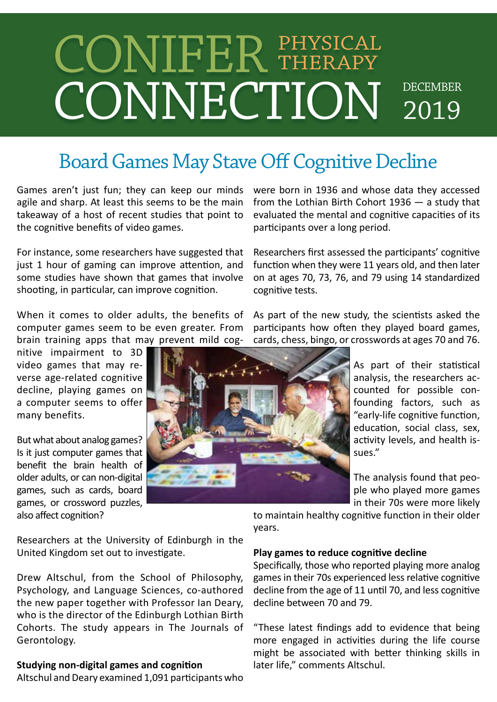# CONNECTION DECEMBER 2019 CONIFER PHYSICAL Therapy

### Board Games May Stave Off Cognitive Decline

Games aren't just fun; they can keep our minds agile and sharp. At least this seems to be the main takeaway of a host of recent studies that point to the cognitive benefits of video games.

For instance, some researchers have suggested that just 1 hour of gaming can improve attention, and some studies have shown that games that involve shooting, in particular, can improve cognition.

When it comes to older adults, the benefits of computer games seem to be even greater. From brain training apps that may prevent mild cog-

nitive impairment to 3D video games that may reverse age-related cognitive decline, playing games on a computer seems to offer many benefits.

But what about analog games? Is it just computer games that benefit the brain health of older adults, or can non-digital games, such as cards, board games, or crossword puzzles, also affect cognition?

were born in 1936 and whose data they accessed from the Lothian Birth Cohort 1936 — a study that evaluated the mental and cognitive capacities of its participants over a long period.

Researchers first assessed the participants' cognitive function when they were 11 years old, and then later on at ages 70, 73, 76, and 79 using 14 standardized cognitive tests.

As part of the new study, the scientists asked the participants how often they played board games, cards, chess, bingo, or crosswords at ages 70 and 76.

> As part of their statistical analysis, the researchers accounted for possible confounding factors, such as "early-life cognitive function, education, social class, sex, activity levels, and health issues."

> The analysis found that people who played more games in their 70s were more likely

Researchers at the University of Edinburgh in the United Kingdom set out to investigate.

Drew Altschul, from the School of Philosophy, Psychology, and Language Sciences, co-authored the new paper together with Professor Ian Deary, who is the director of the Edinburgh Lothian Birth Cohorts. The study appears in The Journals of Gerontology.

### **Studying non-digital games and cognition**

Altschul and Deary examined 1,091 participants who

to maintain healthy cognitive function in their older years.

### **Play games to reduce cognitive decline**

Specifically, those who reported playing more analog games in their 70s experienced less relative cognitive decline from the age of 11 until 70, and less cognitive decline between 70 and 79.

might be associated with better thinking skills in<br> **ying non-digital games and cognition**<br>
later life," comments Altschul. "These latest findings add to evidence that being more engaged in activities during the life course later life," comments Altschul.

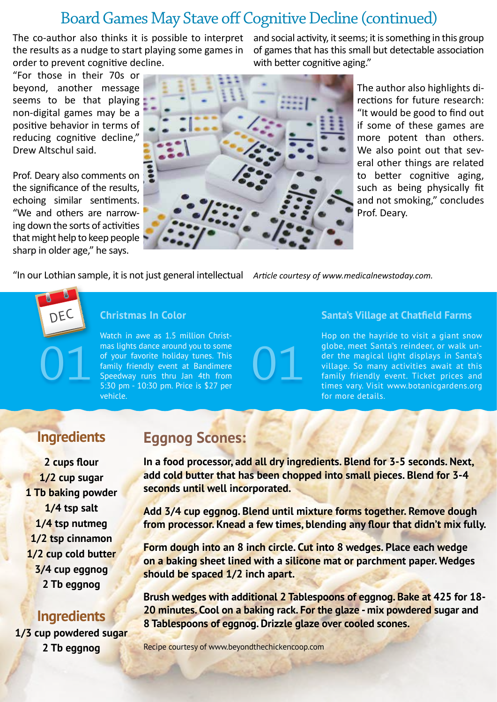### Board Games May Stave off Cognitive Decline (continued)

The co-author also thinks it is possible to interpret the results as a nudge to start playing some games in order to prevent cognitive decline.

"For those in their 70s or beyond, another message seems to be that playing non-digital games may be a positive behavior in terms of reducing cognitive decline," Drew Altschul said.

Prof. Deary also comments on the significance of the results, echoing similar sentiments. "We and others are narrowing down the sorts of activities that might help to keep people sharp in older age," he says.

and social activity, it seems; it is something in this group of games that has this small but detectable association with better cognitive aging."



"In our Lothian sample, it is not just general intellectual *Article courtesy of www.medicalnewstoday.com.*

# DEC

### **Christmas In Color**

Watch in awe as 1.5 million Christmas lights dance around you to some of your favorite holiday tunes. This family friendly event at Bandimere Speedway runs thru Jan 4th from 5:30 pm - 10:30 pm. Price is \$27 per vehicle. mas lights dance around you to some<br>of your favorite holiday tunes. This<br>family friendly event at Bandimere<br>Speedway runs thru Jan 4th from<br>5:30 pm - 10:30 pm. Price is \$27 per

### **Santa's Village at Chatfield Farms**

Hop on the hayride to visit a giant snow globe, meet Santa's reindeer, or walk under the magical light displays in Santa's village. So many activities await at this family friendly event. Ticket prices and times vary. Visit www.botanicgardens.org for more details.

### **Ingredients**

**2 cups flour 1/2 cup sugar 1 Tb baking powder 1/4 tsp salt 1/4 tsp nutmeg 1/2 tsp cinnamon 1/2 cup cold butter 3/4 cup eggnog 2 Tb eggnog**

### **Ingredients**

**1/3 cup powdered sugar 2 Tb eggnog**

### **Eggnog Scones:**

**In a food processor, add all dry ingredients. Blend for 3-5 seconds. Next, add cold butter that has been chopped into small pieces. Blend for 3-4 seconds until well incorporated.**

**Add 3/4 cup eggnog. Blend until mixture forms together. Remove dough from processor. Knead a few times, blending any flour that didn't mix fully.**

**Form dough into an 8 inch circle. Cut into 8 wedges. Place each wedge on a baking sheet lined with a silicone mat or parchment paper. Wedges should be spaced 1/2 inch apart.**

**Brush wedges with additional 2 Tablespoons of eggnog. Bake at 425 for 18- 20 minutes. Cool on a baking rack. For the glaze - mix powdered sugar and 8 Tablespoons of eggnog. Drizzle glaze over cooled scones.**

Recipe courtesy of www.beyondthechickencoop.com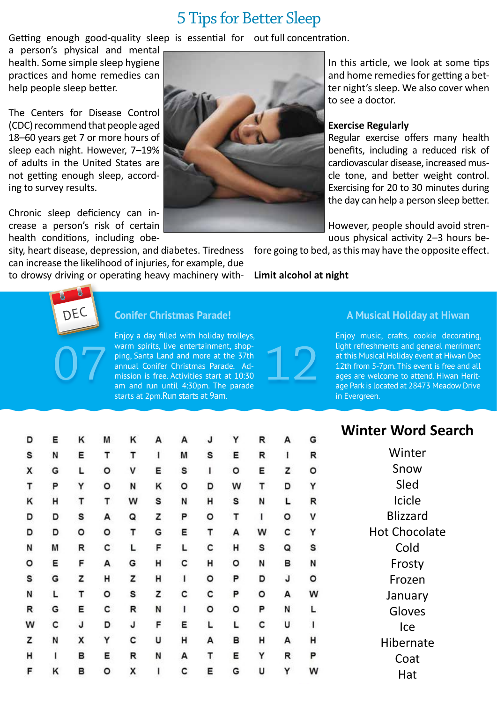### 5 Tips for Better Sleep

Getting enough good-quality sleep is essential for out full concentration.

a person's physical and mental health. Some simple sleep hygiene practices and home remedies can help people sleep better.

The Centers for Disease Control (CDC) recommend that people aged 18–60 years get 7 or more hours of sleep each night. However, 7–19% of adults in the United States are not getting enough sleep, according to survey results.

Chronic sleep deficiency can increase a person's risk of certain health conditions, including obe-

sity, heart disease, depression, and diabetes. Tiredness can increase the likelihood of injuries, for example, due to drowsy driving or operating heavy machinery withIn this article, we look at some tips and home remedies for getting a better night's sleep. We also cover when to see a doctor.

#### **Exercise Regularly**

Regular exercise offers many health benefits, including a reduced risk of cardiovascular disease, increased muscle tone, and better weight control. Exercising for 20 to 30 minutes during the day can help a person sleep better.

However, people should avoid strenuous physical activity 2–3 hours be-

fore going to bed, as this may have the opposite effect.

**Limit alcohol at night**

# DEC

### **Conifer Christmas Parade!**

Enjoy a day filled with holiday trolleys, warm spirits, live entertainment, shopping, Santa Land and more at the 37th annual Conifer Christmas Parade. Admission is free. Activities start at 10:30 am and run until 4:30pm. The parade starts at 2pm.Run starts at 9am. Warm spirits, live entertainment, shop-<br>ping, Santa Land and more at the 37th<br>annual Conifer Christmas Parade. Ad-<br>mission is free. Activities start at 10:30<br>am and run until 4:30pm. The parade

### **A Musical Holiday at Hiwan**

Enjoy music, crafts, cookie decorating, light refreshments and general merriment at this Musical Holiday event at Hiwan Dec 12th from 5-7pm. This event is free and all ages are welcome to attend. Hiwan Heritage Park is located at 28473 Meadow Drive in Evergreen.

### **Winter Word Search**

nter ow ed cle zard ocolate Cold )sty izen uary ves  $\mathsf{P}$ rnate oat Hat

| <b>Winter We</b> | G | А | R | Y | J | А | А | Κ | М | Κ | Ε | D |
|------------------|---|---|---|---|---|---|---|---|---|---|---|---|
| Wir              | R | I | R | E | S | М | ı | т | т | Ε | N | S |
|                  |   |   |   |   |   |   |   |   |   |   |   |   |
| Sn               | o | z | E | o | I | S | E | ٧ | o | L | G | X |
| SI               | Υ | D | т | W | D | o | Κ | N | o | Υ | P | т |
| Ici              | R | г | N | S | н | N | S | W | т | т | н | Κ |
| Bliz:            | ٧ | o | ı | т | o | P | z | Q | А | S | D | D |
| Hot Ch           | Υ | с | w | A | Τ | E | G | т | о | o | D | D |
| C <sub>C</sub>   | S | Q | s | н | с | L | F | L | с | R | м | Ν |
| Frc              | N | в | N | o | н | с | н | G | А | F | Ε | o |
| Fro              | o | J | D | P | o | ı | н | z | н | z | G | S |
| Janı             | W | А | о | P | с | c | z | S | o | т | L | N |
| Glo              | L | N | P | o | о | ı | N | R | с | E | G | R |
| l                | Ī | U | с | г | г | E | F | J | D | J | с | W |
| Hibe             | н | А | н | в | А | н | U | c | Υ | x | N | z |
| C <sub>C</sub>   | P | R | Υ | E | т | А | N | R | E | в | ı | н |
| н                | W | Υ | U | G | E | c | ı | X | o | в | Κ | F |